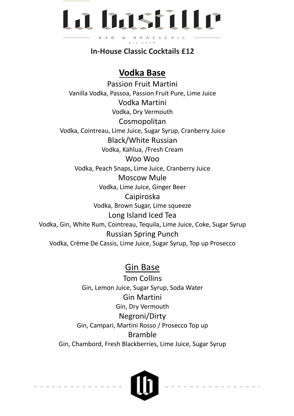## La basfille B R A S S E R I E **B** A R &

**In-House Classic Cocktails £12**

### **Vodka Base**

Passion Fruit Martini Vanilla Vodka, Passoa, Passion Fruit Pure, Lime Juice Vodka Martini Vodka, Dry Vermouth Cosmopolitan Vodka, Cointreau, Lime Juice, Sugar Syrup, Cranberry Juice Black/White Russian Vodka, Kahlua, /Fresh Cream Woo Woo Vodka, Peach Snaps, Lime Juice, Cranberry Juice Moscow Mule Vodka, Lime Juice, Ginger Beer Caipiroska Vodka, Brown Sugar, Lime squeeze Long Island Iced Tea Vodka, Gin, White Rum, Cointreau, Tequila, Lime Juice, Coke, Sugar Syrup Russian Spring Punch Vodka, Crème De Cassis, Lime Juice, Sugar Syrup, Top up Prosecco

### Gin Base

Tom Collins Gin, Lemon Juice, Sugar Syrup, Soda Water Gin Martini Gin, Dry Vermouth Negroni/Dirty Gin, Campari, Martini Rosso / Prosecco Top up Bramble Gin, Chambord, Fresh Blackberries, Lime Juice, Sugar Syrup